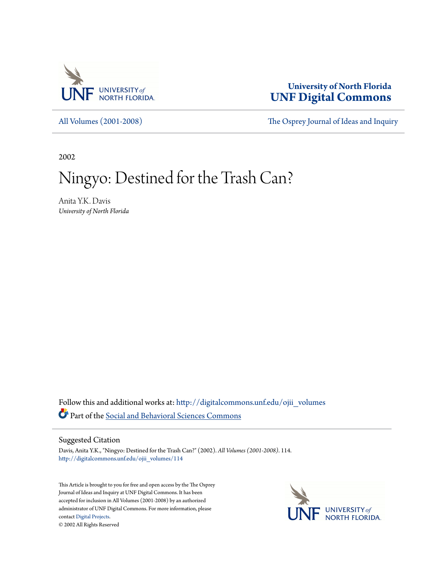

**University of North Florida [UNF Digital Commons](http://digitalcommons.unf.edu?utm_source=digitalcommons.unf.edu%2Fojii_volumes%2F114&utm_medium=PDF&utm_campaign=PDFCoverPages)**

[All Volumes \(2001-2008\)](http://digitalcommons.unf.edu/ojii_volumes?utm_source=digitalcommons.unf.edu%2Fojii_volumes%2F114&utm_medium=PDF&utm_campaign=PDFCoverPages) [The Osprey Journal of Ideas and Inquiry](http://digitalcommons.unf.edu/ojii?utm_source=digitalcommons.unf.edu%2Fojii_volumes%2F114&utm_medium=PDF&utm_campaign=PDFCoverPages)

2002

# Ningyo: Destined for the Trash Can?

Anita Y.K. Davis *University of North Florida*

Follow this and additional works at: [http://digitalcommons.unf.edu/ojii\\_volumes](http://digitalcommons.unf.edu/ojii_volumes?utm_source=digitalcommons.unf.edu%2Fojii_volumes%2F114&utm_medium=PDF&utm_campaign=PDFCoverPages) Part of the [Social and Behavioral Sciences Commons](http://network.bepress.com/hgg/discipline/316?utm_source=digitalcommons.unf.edu%2Fojii_volumes%2F114&utm_medium=PDF&utm_campaign=PDFCoverPages)

Suggested Citation

Davis, Anita Y.K., "Ningyo: Destined for the Trash Can?" (2002). *All Volumes (2001-2008)*. 114. [http://digitalcommons.unf.edu/ojii\\_volumes/114](http://digitalcommons.unf.edu/ojii_volumes/114?utm_source=digitalcommons.unf.edu%2Fojii_volumes%2F114&utm_medium=PDF&utm_campaign=PDFCoverPages)

This Article is brought to you for free and open access by the The Osprey Journal of Ideas and Inquiry at UNF Digital Commons. It has been accepted for inclusion in All Volumes (2001-2008) by an authorized administrator of UNF Digital Commons. For more information, please contact [Digital Projects.](mailto:lib-digital@unf.edu) © 2002 All Rights Reserved

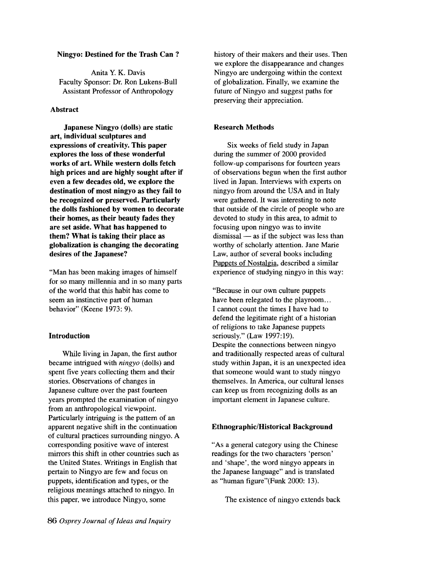# Ningyo: Destined for the Trash Can ?

Anita Y. K. Davis Faculty Sponsor: Dr. Ron Lukens-Bull Assistant Professor of Anthropology

## **Abstract**

Japanese Ningyo (dolls) are static art, individual sculptures and expressions of creativity. This paper explores the loss of these wonderful works of art. While western dolls fetch high prices and are highly sought after if even a few decades old, we explore the destination of most ningyo as they fail to be recognized or preserved. Particularly the dolls fashioned by women to decorate their homes, as their beauty fades they are set aside. What has happened to them? What is taking their place as globalization is changing the decorating desires of the Japanese?

"Man has been making images of himself for so many millennia and in so many parts of the world that this habit has come to seem an instinctive part of human behavior" (Keene 1973: 9).

# Introduction

While living in Japan, the first author became intrigued with *ningyo* (dolls) and spent five years collecting them and their stories. Observations of changes in Japanese culture over the past fourteen years prompted the examination of ningyo from an anthropological viewpoint. Particularly intriguing is the pattern of an apparent negative shift in the continuation of cultural practices surrounding ningyo. A corresponding positive wave of interest mirrors this shift in other countries such as the United States. Writings in English that pertain to Ningyo are few and focus on puppets, identification and types, or the religious meanings attached to ningyo. In this paper, we introduce Ningyo, some

history of their makers and their uses. Then we explore the disappearance and changes Ningyo are undergoing within the context of globalization. Finally, we examine the future of Ningyo and suggest paths for preserving their appreciation.

## Research Methods

Six weeks of field study in Japan during the summer of 2000 provided follow-up comparisons for fourteen years of observations begun when the fIrst author lived in Japan. Interviews with experts on ningyo from around the USA and in Italy were gathered. It was interesting to note that outside of the circle of people who are devoted to study in this area, to admit to focusing upon ningyo was to invite  $d$ ismissal  $-$  as if the subject was less than worthy of scholarly attention. Jane Marie Law, author of several books including Puppets of Nostalgia, described a similar experience of studying ningyo in this way:

"Because in our own culture puppets have been relegated to the playroom... I cannot count the times I have had to defend the legitimate right of a historian of religions to take Japanese puppets seriously." (Law 1997:19). Despite the connections between ningyo and traditionally respected areas of cultural study within Japan, it is an unexpected idea that someone would want to study ningyo themselves. In America, our cultural lenses can keep us from recognizing dolls as an important element in Japanese culture.

# Ethnographic/Historical Background

"As a general category using the Chinese readings for the two characters 'person' and 'shape', the word ningyo appears in the Japanese language" and is translated as "human figure"(Funk 2000: 13).

The existence of ningyo extends back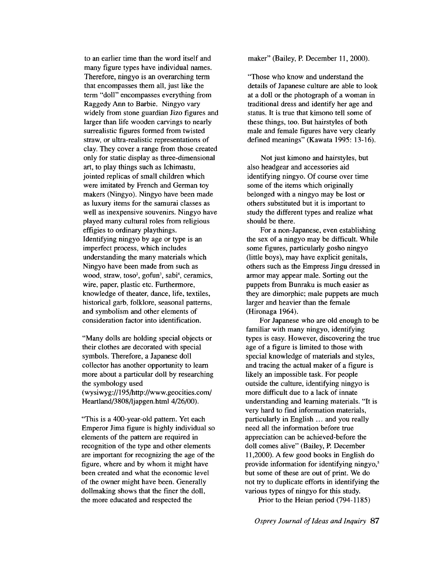to an earlier time than the word itself and many figure types have individual names. Therefore, ningyo is an overarching term that encompasses them all, just like the term "doll" encompasses everything from Raggedy Ann to Barbie. Ningyo vary widely from stone guardian Jizo figures and larger than life wooden carvings to nearly surrealistic figures formed from twisted straw, or ultra-realistic representations of clay. They cover a range from those created only for static display as three-dimensional art, to play things such as Ichimastu, jointed replicas of small children which were imitated by French and German toy makers (Ningyo). Ningyo have been made as luxury items for the samurai classes as well as inexpensive souvenirs. Ningyo have played many cultural roles from religious effigies to ordinary playthings. Identifying ningyo by age or type is an imperfect process, which includes understanding the many materials which Ningyo have been made from such as wood, straw, toso<sup>2</sup>, gofun<sup>3</sup>, sabi<sup>4</sup>, ceramics, wire, paper, plastic etc. Furthermore, knowledge of theater, dance, life, textiles, historical garb, folklore, seasonal patterns, and symbolism and other elements of consideration factor into identification.

"Many dolls are holding special objects or their clothes are decorated with special symbols. Therefore, a Japanese doll collector has another opportunity to learn more about a particular doll by researching the symbology used (wysiwyg://195/http://www.geocities.com/ Heartland/3808/ljapgen.html 4/26/00).

"This is a 400-year-old pattern. Yet each Emperor Jima figure is highly individual so elements of the pattern are required in recognition of the type and other elements are important for recognizing the age of the figure, where and by whom it might have been created and what the economic level of the owner might have been. Generally dollmaking shows that the finer the doll, the more educated and respected the

maker" (Bailey, P. December 11, 2000).

"Those who know and understand the details of Japanese culture are able to look at a doll or the photograph of a woman in traditional dress and identify her age and status. It is true that kimono tell some of these things, too. But hairstyles of both male and female figures have very clearly defined meanings" (Kawata 1995: 13-16).

Not just kimono and hairstyles, but also headgear and accessories aid identifying ningyo. Of course over time some of the items which originally belonged with a ningyo may be lost or others substituted but it is important to study the different types and realize what should be there.

For a non-Japanese, even establishing the sex of a ningyo may be difficult. While some figures, particularly gosho ningyo (little boys), may have explicit genitals, others such as the Empress Jingu dressed in armor may appear male. Sorting out the puppets from Bumaku is much easier as they are dimorphic; male puppets are much larger and heavier than the female (Hironaga 1964).

For Japanese who are old enough to be familiar with many ningyo, identifying types is easy. However, discovering the true age of a figure is limited to those with special knowledge of materials and styles, and tracing the actual maker of a figure is likely an impossible task. For people outside the culture, identifying ningyo is more difficult due to a lack of innate understanding and learning materials. "It is very hard to find information materials, particularly in English ... and you really need all the information before true appreciation can be achieved-before the doll comes alive" (Bailey, P. December 11,2000). A few good books in English do provide information for identifying ningyo,<sup>5</sup> but some of these are out of print. We do not try to duplicate efforts in identifying the various types of ningyo for this study.

Prior to the Heian period (794-1185)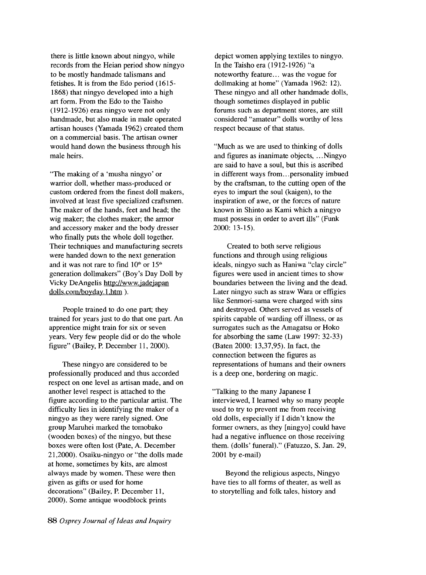there is little known about ningyo, while records from the Heian period show ningyo to be mostly handmade talismans and fetishes. It is from the Edo period (1615- 1868) that ningyo developed into a high art form. From the Edo to the Taisho (1912-1926) eras ningyo were not only handmade, but also made in male operated artisan houses (Yamada 1962) created them on a commercial basis. The artisan owner would hand down the business through his male heirs.

"The making of a 'musha ningyo' or warrior doll, whether mass-produced or custom ordered from the finest doll makers, involved at least five specialized craftsmen. The maker of the hands, feet and head; the wig maker; the clothes maker; the armor and accessory maker and the body dresser who finally puts the whole doll together. Their techniques and manufacturing secrets were handed down to the next generation and it was not rare to find  $10<sup>th</sup>$  or  $15<sup>th</sup>$ generation dollmakers" (Boy's Day Doll by Vicky DeAngelis http://www.jadejapan dolls.com/boyday.1.htm ).

People trained to do one part; they trained for years just to do that one part. An apprentice might train for six or seven years. Very few people did or do the whole figure" (Bailey, P. December 11, 2000).

These ningyo are considered to be professionally produced and thus accorded respect on one level as artisan made, and on another level respect is attached to the figure according to the particular artist. The difficulty lies in identifying the maker of a ningyo as they were rarely signed. One group Maruhei marked the tomobako (wooden boxes) of the ningyo, but these boxes were often lost (Pate, A. December 21,2000). Osaiku-ningyo or "the dolls made at home, sometimes by kits, are almost always made by women. These were then given as gifts or used for home decorations" (Bailey, P. December 11, 2000). Some antique woodblock prints

depict women applying textiles to ningyo. In the Taisho era (1912-1926) "a noteworthy feature... was the vogue for dollmaking at home" (Yamada 1962: 12). These ningyo and all other handmade dolls, though sometimes displayed in public forums such as department stores, are still considered "amateur" dolls worthy of less respect because of that status.

"Much as we are used to thinking of dolls and figures as inanimate objects, ... Ningyo are said to have a soul, but this is ascribed in different ways from...personality imbued by the craftsman, to the cutting open of the eyes to impart the soul (kaigen), to the inspiration of awe, or the forces of nature known in Shinto as Kami which a ningyo must possess in order to avert ills" (Funk 2000: 13-15).

Created to both serve religious functions and through using religious ideals, ningyo such as Haniwa "clay circle" figures were used in ancient times to show boundaries between the living and the dead. Later ningyo such as straw Wara or effigies like Senmori-sama were charged with sins and destroyed. Others served as vessels of spirits capable of warding off illness, or as surrogates such as the Amagatsu or Hoko for absorbing the same (Law 1997: 32-33) (Baten 2000: 13,37,95). In fact, the connection between the figures as representations of humans and their owners is a deep one, bordering on magic.

"Talking to the many Japanese I interviewed, I learned why so many people used to try to prevent me from receiving old dolls, especially if I didn't know the former owners, as they [ningyo] could have had a negative influence on those receiving them. (dolls' funeral)." (Fatuzzo, S. Jan. 29, 2001 by e-mail)

Beyond the religious aspects, Ningyo have ties to all forms of theater, as well as to storytelling and folk tales, history and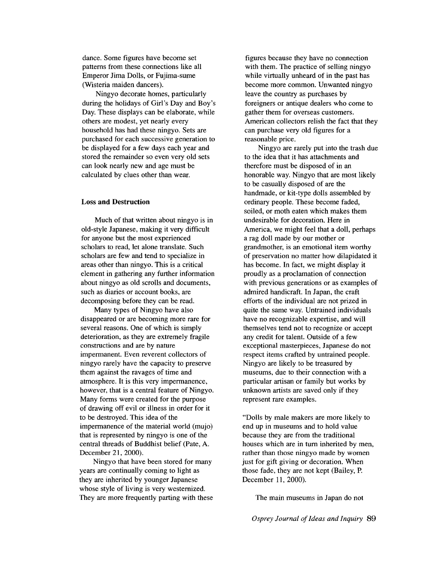dance. Some figures have become set patterns from these connections like all Emperor Jima Dolls, or Fujima-sume (Wisteria maiden dancers).

Ningyo decorate homes, particularly during the holidays of Girl's Day and Boy's Day. These displays can be elaborate, while others are modest, yet nearly every household has had these ningyo. Sets are purchased for each successive generation to be displayed for a few days each year and stored the remainder so even very old sets can look nearly new and age must be calculated by clues other than wear.

#### Loss **and Destruction**

Much of that written about ningyo is in old-style Japanese, making it very difficult for anyone but the most experienced scholars to read, let alone translate. Such scholars are few and tend to specialize in areas other than ningyo. This is a critical element in gathering any further information about ningyo as old scrolls and documents, such as diaries or account books, are decomposing before they can be read.

Many types of Ningyo have also disappeared or are becoming more rare for several reasons. One of which is simply deterioration, as they are extremely fragile constructions and are by nature impermanent. Even reverent collectors of ningyo rarely have the capacity to preserve them against the ravages of time and atmosphere. It is this very impermanence, however, that is a central feature of Ningyo. Many forms were created for the purpose of drawing off evil or illness in order for it to be destroyed. This idea of the impermanence of the material world (mujo) that is represented by ningyo is one of the central threads of Buddhist belief (Pate, A. December 21, 2000).

Ningyo that have been stored for many years are continually coming to light as they are inherited by younger Japanese whose style of living is very westernized. They are more frequently parting with these

figures because they have no connection with them. The practice of selling ningyo while virtually unheard of in the past has become more common. Unwanted ningyo leave the country as purchases by foreigners or antique dealers who come to gather them for overseas customers. American collectors relish the fact that they can purchase very old figures for a reasonable price.

Ningyo are rarely put into the trash due to the idea that it has attachments and therefore must be disposed of in an honorable way. Ningyo that are most likely to be casually disposed of are the handmade, or kit-type dolls assembled by ordinary people. These become faded, soiled, or moth eaten which makes them undesirable for decoration. Here in America, we might feel that a doll, perhaps a rag doll made by our mother or grandmother, is an emotional item worthy of preservation no matter how dilapidated it has become. In fact, we might display it proudly as a proclamation of connection with previous generations or as examples of admired handicraft. In Japan, the craft efforts of the individual are not prized in quite the same way. Untrained individuals have no recognizable expertise, and will themselves tend not to recognize or accept any credit for talent. Outside of a few exceptional masterpieces, Japanese do not respect items crafted by untrained people. Ningyo are likely to be treasured by museums, due to their connection with a particular artisan or family but works by unknown artists are saved only if they represent rare examples.

"Dolls by male makers are more likely to end up in museums and to hold value because they are from the traditional houses which are in tum inherited by men, rather than those ningyo made by women just for gift giving or decoration. When those fade, they are not kept (Bailey, P. December 11, 2000).

The main museums in Japan do not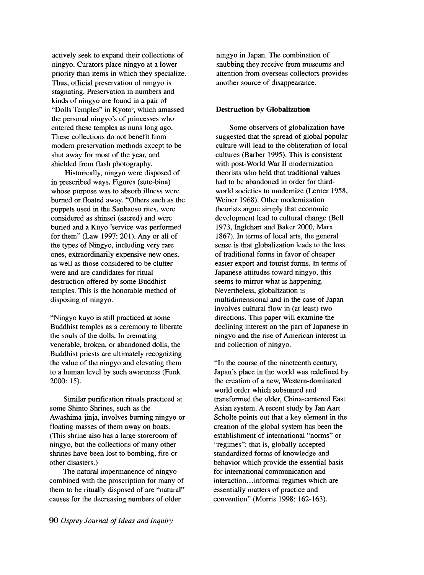actively seek to expand their collections of ningyo. Curators place ningyo at a lower priority than items in which they specialize. Thus, official preservation of ningyo is stagnating. Preservation in numbers and kinds of ningyo are found in a pair of "Dolls Temples" in Kyoto<sup>6</sup>, which amassed the personal ningyo's of princesses who entered these temples as nuns long ago. These collections do not benefit from modem preservation methods except to be shut away for most of the year, and shielded from flash photography.

Historically, ningyo were disposed of in prescribed ways. Figures (sute-bina) whose purpose was to absorb illness were burned or floated away. "Others such as the puppets used in the Sanbaoso rites, were considered as shinsei (sacred) and were buried and a Kuyo 'service was performed for them" (Law 1997: 201). Any or all of the types of Ningyo, including very rare ones, extraordinarily expensive new ones, as well as those considered to be clutter were and are candidates for ritual destruction offered by some Buddhist temples. This is the honorable method of disposing of ningyo.

"Ningyo kuyo is still practiced at some Buddhist temples as a ceremony to liberate the souls of the dolls. In cremating venerable, broken, or abandoned dolls, the Buddhist priests are ultimately recognizing the value of the ningyo and elevating them to a human level by such awareness (Funk 2000: 15).

Similar purification rituals practiced at some Shinto Shrines, such as the Awashima-jinja, involves burning ningyo or floating masses of them away on boats. (This shrine also has a large storeroom of ningyo, but the collections of many other shrines have been lost to bombing, fire or other disasters.)

The natural impermanence of ningyo combined with the proscription for many of them to be ritually disposed of are "natural" causes for the decreasing numbers of older

ningyo in Japan. The combination of snubbing they receive from museums and attention from overseas collectors provides another source of disappearance.

## **Destruction by Globalization**

Some observers of globalization have suggested that the spread of global popular culture will lead to the obliteration of local cultures (Barber 1995). This is consistent with post-World War II modernization theorists who held that traditional values had to be abandoned in order for thirdworld societies to modernize (Lerner 1958, Weiner 1968). Other modernization theorists argue simply that economic development lead to cultural change (Bell 1973, Inglehart and Baker 2000, Marx 1867). In terms of local arts, the general sense is that globalization leads to the loss of traditional forms in favor of cheaper easier export and tourist forms. In terms of Japanese attitudes toward ningyo, this seems to mirror what is happening. Nevertheless, globalization is multidimensional and in the case of Japan involves cultural flow in (at least) two directions. This paper will examine the declining interest on the part of Japanese in ningyo and the rise of American interest in and collection of ningyo.

"In the course of the nineteenth century, Japan's place in the world was redefined by the creation of a new, Western-dominated world order which subsumed and transformed the older, China-centered East Asian system. A recent study by Jan Aart Scholte points out that a key element in the creation of the global system has been the establishment of international "norms" or "regimes": that is, globally accepted standardized forms of knowledge and behavior which provide the essential basis for international communication and interaction .. .informal regimes which are essentially matters of practice and convention" (Morris 1998: 162-163).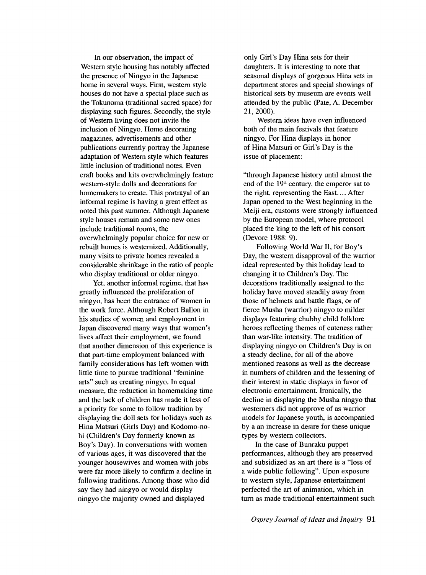In our observation, the impact of Western style housing has notably affected the presence of Ningyo in the Japanese home in several ways. First, western style houses do not have a special place such as the Tokunoma (traditional sacred space) for displaying such figures. Secondly, the style of Western living does not invite the inclusion of Ningyo. Home decorating magazines, advertisements and other publications currently portray the Japanese adaptation of Western style which features little inclusion of traditional notes. Even craft books and kits overwhelmingly feature western-style dolls and decorations for homemakers to create. This portrayal of an informal regime is having a great effect as noted this past summer. Although Japanese style houses remain and some new ones include traditional rooms, the overwhelmingly popular choice for new or rebuilt homes is westernized. Additionally, many visits to private homes revealed a considerable shrinkage in the ratio of people who display traditional or older ningyo.

Yet, another informal regime, that has greatly influenced the proliferation of ningyo, has been the entrance of women in the work force. Although Robert Ballon in his studies of women and employment in Japan discovered many ways that women's lives affect their employment, we found that another dimension of this experience is that part-time employment balanced with family considerations has left women with little time to pursue traditional "feminine arts" such as creating ningyo. In equal measure, the reduction in homemaking time and the lack of children has made it less of a priority for some to follow tradition by displaying the doll sets for holidays such as Hina Matsuri (Girls Day) and Kodomo-nohi (Children's Day formerly known as Boy's Day). In conversations with women of various ages, it was discovered that the younger housewives and women with jobs were far more likely to confirm a decline in following traditions. Among those who did say they had ningyo or would display ningyo the majority owned and displayed

only Girl's Day Hina sets for their daughters. It is interesting to note that seasonal displays of gorgeous Hina sets in department stores and special showings of historical sets by museum are events well attended by the public (Pate, A. December 21,2000).

Western ideas have even influenced both of the main festivals that feature ningyo. For Hina displays in honor of Hina Matsuri or Girl's Day is the issue of placement:

"through Japanese history until almost the end of the  $19<sup>th</sup>$  century, the emperor sat to the right, representing the East. ... After Japan opened to the West beginning in the Meiji era, customs were strongly influenced by the European model, where protocol placed the king to the left of his consort (Devore 1988: 9).

Following World War II, for Boy's Day, the western disapproval of the warrior ideal represented by this holiday lead to changing it to Children's Day. The decorations traditionally assigned to the holiday have moved steadily away from those of helmets and battle flags, or of fierce Musha (warrior) ningyo to milder displays featuring chubby child folklore heroes reflecting themes of cuteness rather than war-like intensity. The tradition of displaying ningyo on Children's Day is on a steady decline, for all of the above mentioned reasons as well as the decrease in numbers of children and the lessening of their interest in static displays in favor of electronic entertainment. Ironically, the decline in displaying the Musha ningyo that westerners did not approve of as warrior models for Japanese youth, is accompanied by a an increase in desire for these unique types by western collectors.

In the case of Bunraku puppet performances, although they are preserved and subsidized as an art there is a "loss of a wide public following". Upon exposure to western style, Japanese entertainment perfected the art of animation, which in turn as made traditional entertainment such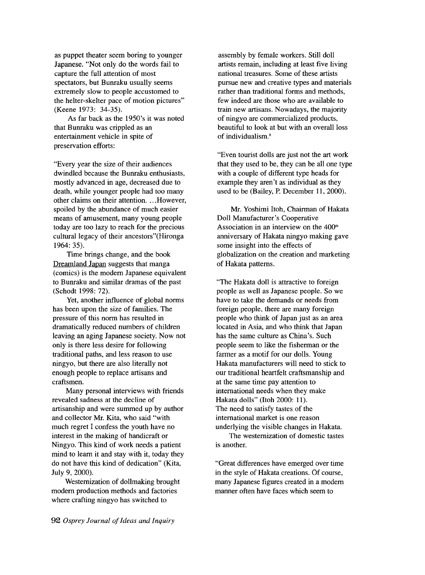as puppet theater seem boring to younger Japanese. "Not only do the words fail to capture the full attention of most spectators, but Bunraku usually seems extremely slow to people accustomed to the helter-skelter pace of motion pictures" (Keene 1973: 34-35).

As far back as the 1950's it was noted that Bunraku was crippled as an entertainment vehicle in spite of preservation efforts:

"Every year the size of their audiences dwindled because the Bunraku enthusiasts, mostly advanced in age, decreased due to death, while younger people had too many other claims on their attention .... However, spoiled by the abundance of much easier means of amusement, many young people today are too lazy to reach for the precious cultural legacy of their ancestors"(Hironga 1964: 35).

Time brings change, and the book Dreamland Japan suggests that manga (comics) is the modern Japanese equivalent to Bunraku and similar dramas of the past (Schodt 1998: 72).

Yet, another influence of global norms has been upon the size of families. The pressure of this norm has resulted in dramatically reduced numbers of children leaving an aging Japanese society. Now not only is there less desire for following traditional paths, and less reason to use ningyo, but there are also literally not enough people to replace artisans and craftsmen.

Many personal interviews with friends revealed sadness at the decline of artisanship and were summed up by author and collector Mr. Kita, who said "with much regret I confess the youth have no interest in the making of handicraft or Ningyo. This kind of work needs a patient mind to learn it and stay with it, today they do not have this kind of dedication" (Kita, July 9, 2000).

Westernization of dollmaking brought modern production methods and factories where crafting ningyo has switched to

assembly by female workers. Still doll artists remain, including at least five living national treasures. Some of these artists pursue new and creative types and materials rather than traditional forms and methods, few indeed are those who are available to train new artisans. Nowadays, the majority of ningyo are commercialized products, beautiful to look at but with an overall loss of individualism.<sup>8</sup>

"Even tourist dolls are just not the art work that they used to be, they can be all one type with a couple of different type heads for example they aren't as individual as they used to be (Bailey, P. December 11,2000).

Mr. Yoshimi Itoh, Chairman of Hakata Doll Manufacturer's Cooperative Association in an interview on the  $400<sup>th</sup>$ anniversary of Hakata ningyo making gave some insight into the effects of globalization on the creation and marketing of Hakata patterns.

"The Hakata doll is attractive to foreign people as well as Japanese people. So we have to take the demands or needs from foreign people, there are many foreign people who think of Japan just as an area located in Asia, and who think that Japan has the same culture as China's. Such people seem to like the fisherman or the farmer as a motif for our dolls. Young Hakata manufacturers will need to stick to our traditional heartfelt craftsmanship and at the same time pay attention to international needs when they make Hakata dolls" (ltoh 2000: 11). The need to satisfy tastes of the international market is one reason underlying the visible changes in Hakata.

The westernization of domestic tastes is another.

"Great differences have emerged over time in the style of Hakata creations. Of course, many Japanese figures created in a modern manner often have faces which seem to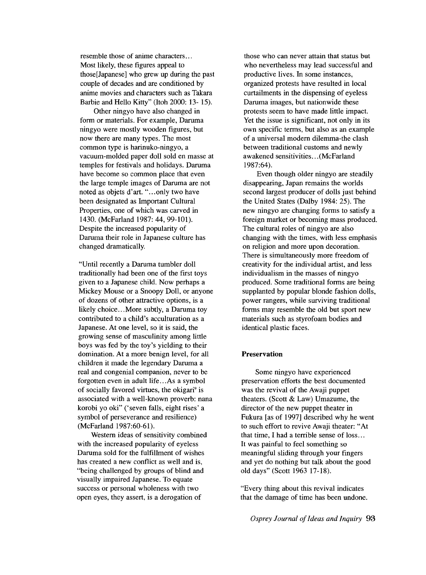resemble those of anime characters... Most likely, these figures appeal to those[Japanese] who grew up during the past couple of decades and are conditioned by anime movies and characters such as Takara Barbie and Hello Kitty" (ltoh 2000: 13- 15).

Other ningyo have also changed in form or materials. For example, Daruma ningyo were mostly wooden figures, but now there are many types. The most common type is harinuko-ningyo, a vacuum-molded paper doll sold en masse at temples for festivals and holidays. Daruma have become so common place that even the large temple images of Daruma are not noted as objets d'art. "...only two have been designated as Important Cultural Properties, one of which was carved in 1430. (McFarland 1987: 44, 99-101). Despite the increased popularity of Daruma their role in Japanese culture has changed dramatically.

"Until recently a Daruma tumbler doll traditionally had been one of the first toys given to a Japanese child. Now perhaps a Mickey Mouse or a Snoopy Doll, or anyone of dozens of other attractive options, is a likely choice...More subtly, a Daruma toy contributed to a child's acculturation as a Japanese. At one level, so it is said, the growing sense of masculinity among little boys was fed by the toy's yielding to their domination. At a more benign level, for all children it made the legendary Daruma a real and congenial companion, never to be forgotten even in adult life...As a symbol of socially favored virtues, the okigari<sup>9</sup> is associated with a well-known proverb: nana korobi yo oki" ('seven falls, eight rises' a symbol of perseverance and resilience) (McFarland 1987:60-61).

Western ideas of sensitivity combined with the increased popularity of eyeless Daruma sold for the fulfillment of wishes has created a new conflict as well and is, "being challenged by groups of blind and visually impaired Japanese. To equate success or personal wholeness with two open eyes, they assert, is a derogation of

those who can never attain that status but who nevertheless may lead successful and productive lives. In some instances, organized protests have resulted in local curtailments in the dispensing of eyeless Daruma images, but nationwide these protests seem to have made little impact. Yet the issue is significant, not only in its own specific terms, but also as an example of a universal modem dilemma-the clash between traditional customs and newly awakened sensitivities ... (McFarland 1987:64).

Even though older ningyo are steadily disappearing, Japan remains the worlds second largest producer of dolls just behind the United States (Dalby 1984: 25). The new ningyo are changing forms to satisfy a foreign market or becoming mass produced. The cultural roles of ningyo are also changing with the times, with less emphasis on religion and more upon decoration. There is simultaneously more freedom of creativity for the individual artist, and less individualism in the masses of ningyo produced. Some traditional forms are being supplanted by popular blonde fashion dolls, power rangers, while surviving traditional forms may resemble the old but sport new materials such as styrofoam bodies and identical plastic faces.

## **Preservation**

Some ningyo have experienced preservation efforts the best documented was the revival of the Awaji puppet theaters. (Scott & Law) Umazume, the director of the new puppet theater in Fukura [as of 1997] described why he went to such effort to revive Awaji theater: "At that time, I had a terrible sense of loss... It was painful to feel something so meaningful sliding through your fingers and yet do nothing but talk about the good old days" (Scott 1963 17-18).

"Every thing about this revival indicates that the damage of time has been undone.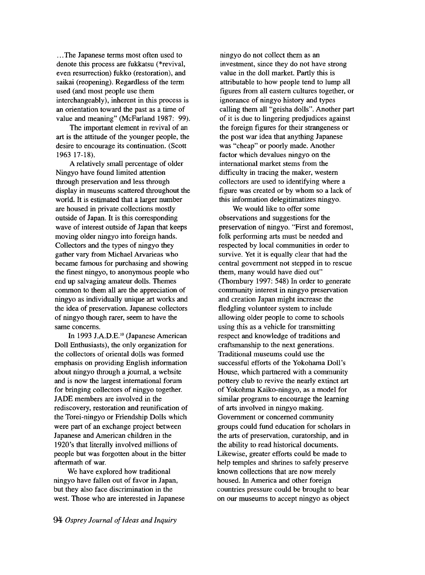... The Japanese terms most often used to denote this process are fukkatsu (\*revival, even resurrection) fukko (restoration), and saikai (reopening). Regardless of the term used (and most people use them interchangeably), inherent in this process is an orientation toward the past as a time of value and meaning" (McFarland 1987: 99).

The important element in revival of an art is the attitude of the younger people, the desire to encourage its continuation. (Scott 1963 17-18).

A relatively small percentage of older Ningyo have found limited attention through preservation and less through display in museums scattered throughout the world. It is estimated that a larger number are housed in private collections mostly outside of Japan. It is this corresponding wave of interest outside of Japan that keeps moving older ningyo into foreign hands. Collectors and the types of ningyo they gather vary from Michael Arvarieas who became famous for purchasing and showing the fmest ningyo, to anonymous people who end up salvaging amateur dolls. Themes common to them all are the appreciation of ningyo as individually unique art works and the idea of preservation. Japanese collectors of ningyo though rarer, seem to have the same concerns.

In 1993 J.A.D.E.<sup>10</sup> (Japanese American Doll Enthusiasts), the only organization for the collectors of oriental dolls was formed emphasis on providing English information about ningyo through a journal, a website and is now the largest international forum for bringing collectors of ningyo together. JADE members are involved in the rediscovery, restoration and reunification of the Torei-ningyo or Friendship Dolls which were part of an exchange project between Japanese and American children in the 1920's that literally involved millions of people but was forgotten about in the bitter aftermath of war.

We have explored how traditional ningyo have fallen out of favor in Japan, but they also face discrimination in the west. Those who are interested in Japanese

ningyo do not collect them as an investment, since they do not have strong value in the doll market. Partly this is attributable to how people tend to lump all figures from all eastern cultures together, or ignorance of ningyo history and types calling them all "geisha dolls". Another part of it is due to lingering predjudices against the foreign figures for their strangeness or the post war idea that anything Japanese was "cheap" or poorly made. Another factor which devalues ningyo on the international market stems from the difficulty in tracing the maker, western collectors are used to identifying where a figure was created or by whom so a lack of this information delegitimatizes ningyo.

We would like to offer some observations and suggestions for the preservation of ningyo. "First and foremost, folk performing arts must be needed and respected by local communities in order to survive. Yet it is equally clear that had the central government not stepped in to rescue them, many would have died out" (Thornbury 1997: 548) In order to generate community interest in ningyo preservation and creation Japan might increase the fledgling volunteer system to include allowing older people to come to schools using this as a vehicle for transmitting respect and knowledge of traditions and craftsmanship to the next generations. Traditional museums could use the successful efforts of the Yokohama Doll's House, which partnered with a community pottery club to revive the nearly extinct art of Yokohma Kaiko-ningyo, as a model for similar programs to encourage the learning of arts involved in ningyo making. Government or concerned community groups could fund education for scholars in the arts of preservation, curatorship, and in the ability to read historical documents. Likewise, greater efforts could be made to help temples and shrines to safely preserve known collections that are now merely housed. In America and other foreign countries pressure could be brought to bear on our museums to accept ningyo as object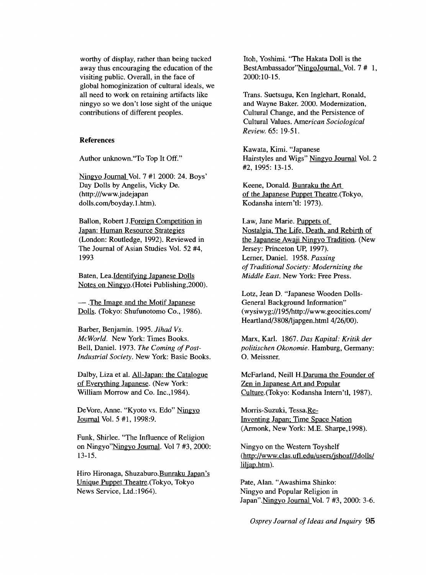worthy of display, rather than being tucked away thus encouraging the education of the visiting public. Overall, in the face of global homoginization of cultural ideals, we all need to work on retaining artifacts like ningyo so we don't lose sight of the unique contributions of different peoples.

### **References**

Author unknown."To Top It Off."

Ningyo Journal Vol. 7 #12000: 24. Boys' Day Dolls by Angelis, Vicky De. (http:///www.jadejapan dolls.com/boyday.l.htm).

BaIlon, Robert J.Foreign Competition in Japan: Human Resource Strategies (London: Routledge, 1992). Reviewed in The Journal of Asian Studies Vol. 52 #4, 1993

Baten, Lea.Identifying Japanese Dolls Notes on Ningyo.(Hotei Publishing,2000).

- The Image and the Motif Japanese Dolls. (Tokyo: Shufunotomo Co., 1986).

Barber, Benjamin. 1995. *Jihad Vs. McWorld.* New York: Times Books. Bell, Daniel. 1973. *The Coming of Post-Industrial Society.* New York: Basic Books.

Dalby, Liza et al. All-Japan: the Catalogue of Everything Japanese. (New York: William Morrow and Co. Inc.,1984).

DeVore, Anne. "Kyoto vs. Edo" Ningyo Journal Vol. 5 #1, 1998:9.

Funk, Shirlee. "The Influence of Religion on Ningyo"Ningyo Journal. Vol 7 #3, 2000: 13-15.

Hiro Hironaga, Shuzaburo. Bunraku Japan's Unique Puppet Theatre.(Tokyo, Tokyo News Service, Ltd.: 1964).

Itoh, Yoshimi. "The Hakata Doll is the BestAmbassador"NingoJournal. Vol. 7 # 1, 2000:10-15.

Trans. Suetsugu, Ken Inglehart, Ronald, and Wayne Baker. 2000. Modernization, Cultural Change, and the Persistence of Cultural Values. *American Sociological Review.* 65: 19-51.

Kawata, Kimi. "Japanese Hairstyles and Wigs" Ningyo Journal Vol. 2 #2,1995: 13-15.

Keene, Donald. Bunraku the Art of the Japanese Puppet Theatre.(Tokyo, Kodansha intern'd: 1973).

Law, Jane Marie. Puppets of Nostalgia, The Life, Death, and Rebirth of the Japanese Awaji Ningyo Tradition. (New Jersey: Princeton UP, 1997). Lerner, Daniel. 1958. *Passing of Traditional Society: Modernizing the Middle East.* New York: Free Press.

Lotz, Jean D. "Japanese Wooden Dolls-General Background Information" (wysiwyg://195/http://www.geocities.com/ Heartland/3808/ljapgen.html 4/26/00).

Marx, Karl. 1867. *Das Kapital: Kritik der politischen Okonomie.* Hamburg, Germany: O. Meissner.

McFarland, Neill H.Daruma the Founder of Zen in Japanese Art and Popular Culture. (Tokyo: Kodansha Intern'd, 1987).

Morris-Suzuki, Tessa.Re-Inventing Japan; Time Space Nation (Armonk, New York: M.E. Sharpe,1998).

Ningyo on the Western Toyshelf (http://www.clas.ufl.edu/users/jshoaf/Jdolls/ liljap.htm).

Pate, Alan. "Awashima Shinko: Ningyo and Popular Religion in Japan".Ningyo Journal Vol. 7 #3, 2000: 3-6.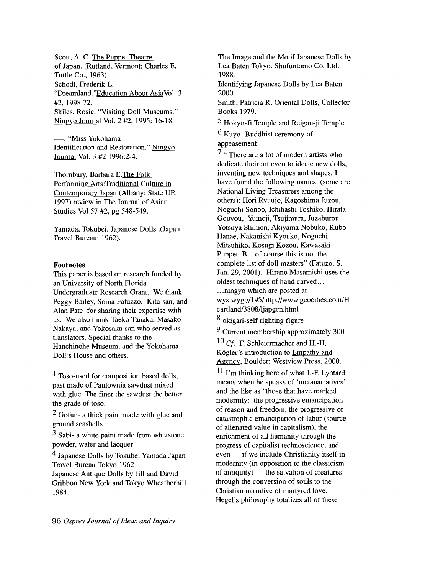Scott, A. C. The Puppet Theatre of Japan. (Rutland, Vermont: Charles E. Tuttle Co., 1963). Schodt, Frederik L. "Dreamland. ''Education About Asia Vol. 3 #2, 1998:72. Skiles, Rosie. "Visiting Doll Museums." Ningyo Journal Vol. 2 #2, 1995: 16-18.

--. "Miss Yokohama Identification and Restoration." Ningyo Journal Vol. 3 #2 1996:2-4.

Thornbury, Barbara E.The Folk Performing Arts:Traditional Culture in Contemporary Japan (Albany: State UP, 1997).review in The Journal of Asian Studies Vol 57 #2, pg 548-549.

Yamada, Tokubei. Japanese Dolls .(Japan Travel Bureau: 1962).

## **Footnotes**

This paper is based on research funded by an University of North Florida Undergraduate Research Grant. We thank Peggy Bailey, Sonia Fatuzzo, Kita-san, and Alan Pate for sharing their expertise with us. We also thank Taeko Tanaka, Masako Nakaya, and Yokosaka-san who served as translators. Special thanks to the Hanchinohe Museum, and the Yokohama Doll's House and others.

1 Toso-used for composition based dolls, past made of Paulownia sawdust mixed with glue. The finer the sawdust the better the grade of toso.

2 Gofun- a thick paint made with glue and ground seashells

3 Sabi- a white paint made from whetstone powder, water and lacquer

4 Japanese Dolls by Tokubei Yamada Japan Travel Bureau Tokyo 1962 Japanese Antique Dolls by Jill and David

Gribbon New York and Tokyo Wheatherhill 1984.

The Image and the Motif Japanese Dolls by Lea Baten Tokyo, Shufuntomo Co. Ltd. 1988.

Identifying Japanese Dolls by Lea Baten 2000

Smith, Patricia R. Oriental Dolls, Collector Books 1979.

5 Hokyo-Ji Temple and Reigan-ji Temple

6 Kuyo- Buddhist ceremony of appeasement

7 " There are a lot of modem artists who dedicate their art even to ideate new dolls, inventing new techniques and shapes. I have found the following names: (some are National Living Treasurers among the others): Hori Ryuujo, Kagoshima Juzou, Noguchi Sonoo, Ichihashi Toshiko, Hirata Gouyou, Yumeji, Tsujimura, Juzaburou, Yotsuya Shimon, Akiyama Nobuko, Kubo Hanae, Nakanishi Kyouko, Noguchi Mitsuhiko, Kosugi Kozou, Kawasaki Puppet. But of course this is not the complete list of doll masters" (Fatuzo, S. Jan. 29, 2001). Hirano Masamishi uses the oldest techniques of hand carved... ... ningyo which are posted at wysi wyg://195/http://www.geocities.com/H eartland/3808/ljapgen.html

8 okigari-self righting figure

9 Current membership approximately 300

<sup>10</sup> *Cf.* F. Schleiermacher and H.-H. Kögler's introduction to Empathy and Agency, Boulder: Westview Press, 2000.

11 I'm thinking here of what J.-F. Lyotard means when he speaks of 'metanarratives' and the like as "those that have marked modernity: the progressive emancipation of reason and freedom, the progressive or catastrophic emancipation of labor (source of alienated value in capitalism), the enrichment of all humanity through the progress of capitalist technoscience, and  $even - if we include Christianity itself in$ modernity (in opposition to the classicism of antiquity)  $-$  the salvation of creatures through the conversion of souls to the Christian narrative of martyred love. Hegel's philosophy totalizes all of these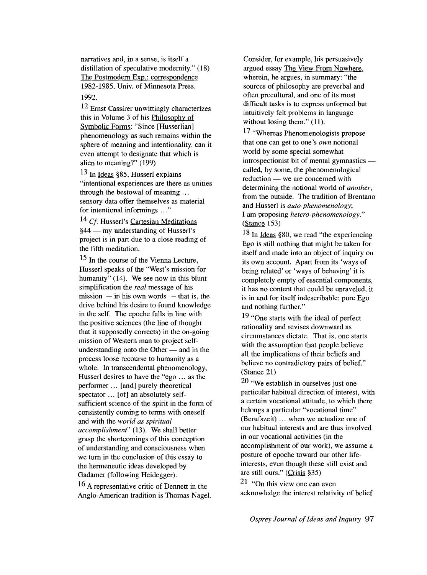narratives and, in a sense, is itself a distillation of speculative modernity." (18) The Postmodern Exp.: correspondence 1982-1985, Univ. of Minnesota Press, 1992.

 $12$  Ernst Cassirer unwittingly characterizes this in Volume 3 of his Philosophy of Symbolic Forms: "Since [Husserlian] phenomenology as such remains within the sphere of meaning and intentionality, can it even attempt to designate that which is alien to meaning?" (199)

13 In Ideas §85, Husserl explains "intentional experiences are there as unities through the bestowal of meaning  $\ldots$ sensory data offer themselves as material for intentional informings ..."

<sup>14</sup> Cf. Husserl's Cartesian Meditations  $§44$  — my understanding of Husserl's project is in part due to a close reading of the fifth meditation.

<sup>15</sup> In the course of the Vienna Lecture, Husserl speaks of the "West's mission for humanity" (14). We see now in this blunt simplification the *real* message of his  $mission$  - in his own words - that is, the drive behind his desire to found knowledge in the self. The epoche falls in line with the positive sciences (the line of thought that it supposedly corrects) in the on-going mission of Western man to project selfunderstanding onto the Other  $-$  and in the process loose recourse to humanity as a whole. In transcendental phenomenology, Husserl desires to have the "ego  $\ldots$  as the perfonner ... [and] purely theoretical spectator ... [of] an absolutely selfsufficient science of the spirit in the form of consistently coming to terms with oneself and with the *world as spiritual accomplishment"* (13). We shall better grasp the shortcomings of this conception of understanding and consciousness when we tum in the conclusion of this essay to the henneneutic ideas developed by Gadamer (following Heidegger).

<sup>16</sup> A representative critic of Dennett in the Anglo-American tradition is Thomas Nagel. Consider, for example, his persuasively argued essay The View From Nowhere. wherein, he argues, in summary: "the sources of philosophy are preverbal and often precultural, and one of its most difficult tasks is to express unformed but intuitively felt problems in language without losing them." (11).

17 "Whereas Phenomenologists propose that one can get to one's *own* notional world by some special somewhat  $introspectionist bit of mental gymnastics$   $$ called, by some, the phenomenological reduction — we are concerned with detennining the notional world of *another,*  from the outside. The tradition of Brentano and Husserl is *auto-phenomenology;*  I am proposing *hetero-phenomenology."*  (Stance 153)

18 In Ideas §80, we read "the experiencing Ego is still nothing that might be taken for itself and made into an object of inquiry on its own account. Apart from its 'ways of being related' or 'ways of behaving' it is completely empty of essential components, it has no content that could be unraveled, it is in and for itself indescribable: pure Ego and nothing further."

19 "One starts with the ideal of perfect rationality and revises downward as circumstances dictate. That is, one starts with the assumption that people believe all the implications of their beliefs and believe no contradictory pairs of belief." (Stance 21)

20 "We establish in ourselves just one particular habitual direction of interest, with a certain vocational attitude, to which there belongs a particular "vocational time" (Berufszeit) ... when we actualize one of our habitual interests and are thus involved in our vocational activities (in the accomplishment of our work), we assume a posture of epoche toward our other lifeinterests, even though these still exist and are still ours." (Crisis §35)

 $21$  "On this view one can even acknowledge the interest relativity of belief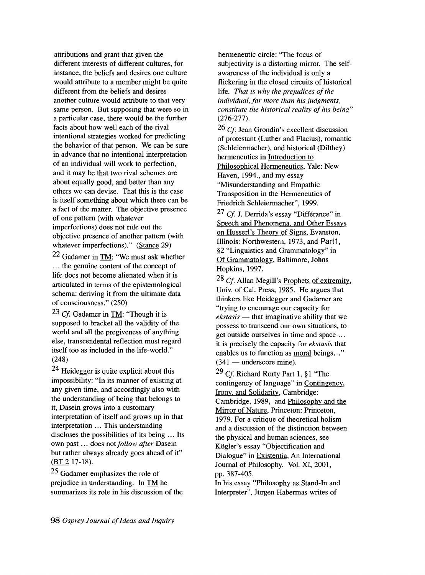attributions and grant that given the different interests of different cultures, for instance, the beliefs and desires one culture would attribute to a member might be quite different from the beliefs and desires another culture would attribute to that very same person. But supposing that were so in a particular case, there would be the further facts about how well each of the rival intentional strategies worked for predicting the behavior of that person. We can be sure in advance that no intentional interpretation of an individual will work to perfection, and it may be that two rival schemes are about equally good, and better than any others we can devise. That this is the case is itself something about which there can be a fact of the matter. The objective presence of one pattern (with whatever imperfections) does not rule out the objective presence of another pattern (with whatever imperfections)." (Stance 29)

22 Gadamer in TM: "We must ask whether ... the genuine content of the concept of life does not become alienated when it is articulated in terms of the epistemological schema: deriving it from the ultimate data of consciousness." (250)

<sup>23</sup> *Cf*. Gadamer in TM: "Though it is supposed to bracket all the validity of the world and all the pregiveness of anything else, transcendental reflection must regard itself too as included in the life-world." (248)

24 Heidegger is quite explicit about this impossibility: "In its manner of existing at any given time, and accordingly also with the understanding of being that belongs to it, Dasein grows into a customary interpretation of itself and grows up in that interpretation ... This understanding discloses the possibilities of its being ... Its own past ... does not *follow after* Dasein but rather always already goes ahead of it" (BT 217-18).

25 Gadamer emphasizes the role of prejudice in understanding. In TM he summarizes its role in his discussion of the

hermeneutic circle: "The focus of subjectivity is a distorting mirror. The selfawareness of the individual is only a flickering in the closed circuits of historical life. *That* is *why the prejudices of the*  individual, far more than his judgments, *constitute the historical reality of his being"*  (276-277).

26 Cf. Jean Grondin's excellent discussion of protestant (Luther and Flacius), romantic (Schleiermacher), and historical (Dilthey) hermeneutics in Introduction to Philosophical Hermeneutics, Yale: New Haven, 1994., and my essay "Misunderstanding and Empathic Transposition in the Hermeneutics of Friedrich Schleiermacher", 1999.

<sup>27</sup> *Cf.* J. Derrida's essay "Différance" in Speech and Phenomena. and Other Essays on Husserl's Theory of Signs, Evanston, Illinois: Northwestern, 1973, and Part1, §2 "Linguistics and Grammatology" in Of Grammatology, Baltimore, Johns Hopkins, 1997.

*28 Cf* Allan Megill's Prophets of extremity, Univ. of Cal. Press, 1985. He argues that thinkers like Heidegger and Gadamer are "trying to encourage our capacity for *ekstasis* — that imaginative ability that we possess to transcend our own situations, to get outside ourselves in time and space ... it is precisely the capacity for *ekstasis* that enables us to function as moral beings..."  $(341 -$  underscore mine).

29 *Cf* Richard Rorty Part 1, §1 "The contingency of language" in Contingency. Irony. and Solidarity, Cambridge: Cambridge, 1989, and Philosophy and the Mirror of Nature, Princeton: Princeton, 1979. For a critique of theoretical holism and a discussion of the distinction between the physical and human sciences, see Kögler's essay "Objectification and Dialogue" in Existentia, An International Journal of Philosophy. Vol. XI, 2001, pp. 387-405.

In his essay "Philosophy as Stand-In and Interpreter", Jiirgen Habermas writes of